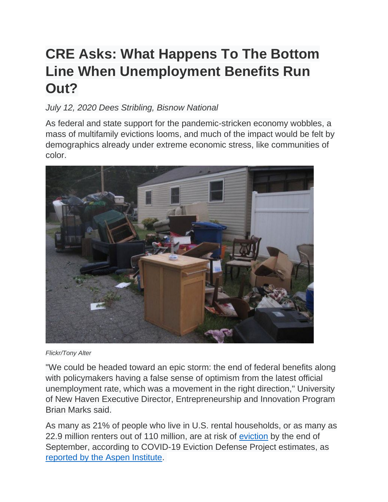## **CRE Asks: What Happens To The Bottom Line When Unemployment Benefits Run Out?**

## *July 12, 2020 Dees Stribling, Bisnow National*

As federal and state support for the pandemic-stricken economy wobbles, a mass of multifamily evictions looms, and much of the impact would be felt by demographics already under extreme economic stress, like communities of color.



## *Flickr/Tony Alter*

"We could be headed toward an epic storm: the end of federal benefits along with policymakers having a false sense of optimism from the latest official unemployment rate, which was a movement in the right direction," University of New Haven Executive Director, Entrepreneurship and Innovation Program Brian Marks said.

As many as 21% of people who live in U.S. rental households, or as many as 22.9 million renters out of 110 million, are at risk of [eviction](https://www.bisnow.com/tags/eviction) by the end of September, according to COVID-19 Eviction Defense Project estimates, as [reported by the Aspen Institute.](https://www.aspeninstitute.org/blog-posts/20-million-renters-are-at-risk-of-eviction/#:%7E:text=It%20is%20a%20coalition%20of,eviction%20by%20September%2030%2C%202020.)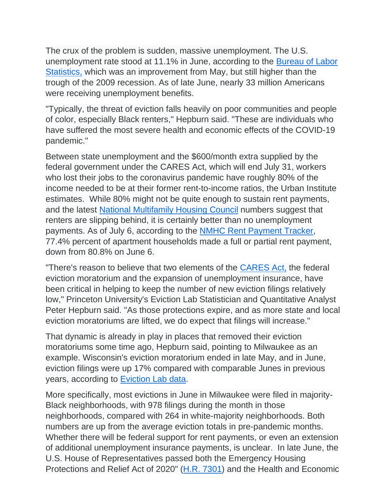The crux of the problem is sudden, massive unemployment. The U.S. unemployment rate stood at 11.1% in June, according to the [Bureau of Labor](https://www.bls.gov/news.release/empsit.nr0.htm)  [Statistics,](https://www.bls.gov/news.release/empsit.nr0.htm) which was an improvement from May, but still higher than the trough of the 2009 recession. As of late June, nearly 33 million Americans were receiving unemployment benefits.

"Typically, the threat of eviction falls heavily on poor communities and people of color, especially Black renters," Hepburn said. "These are individuals who have suffered the most severe health and economic effects of the COVID-19 pandemic."

Between state unemployment and the \$600/month extra supplied by the federal government under the CARES Act, which will end July 31, workers who lost their jobs to the coronavirus pandemic have roughly 80% of the income needed to be at their former rent-to-income ratios, the Urban Institute estimates. While 80% might not be quite enough to sustain rent payments, and the latest [National Multifamily Housing Council](https://www.bls.gov/news.release/empsit.nr0.htm) numbers suggest that renters are slipping behind, it is certainly better than no unemployment payments. As of July 6, according to the [NMHC Rent Payment Tracker,](https://www.nmhc.org/research-insight/nmhc-rent-payment-tracker/) 77.4% percent of apartment households made a full or partial rent payment, down from 80.8% on June 6.

"There's reason to believe that two elements of the [CARES Act,](https://www.bisnow.com/tags/cares-act) the federal eviction moratorium and the expansion of unemployment insurance, have been critical in helping to keep the number of new eviction filings relatively low," Princeton University's Eviction Lab Statistician and Quantitative Analyst Peter Hepburn said. "As those protections expire, and as more state and local eviction moratoriums are lifted, we do expect that filings will increase."

That dynamic is already in play in places that removed their eviction moratoriums some time ago, Hepburn said, pointing to Milwaukee as an example. Wisconsin's eviction moratorium ended in late May, and in June, eviction filings were up 17% compared with comparable Junes in previous years, according to [Eviction Lab data.](https://evictionlab.org/eviction-tracking/milwaukee-wi/)

More specifically, most evictions in June in Milwaukee were filed in majority-Black neighborhoods, with 978 filings during the month in those neighborhoods, compared with 264 in white-majority neighborhoods. Both numbers are up from the average eviction totals in pre-pandemic months. Whether there will be federal support for rent payments, or even an extension of additional unemployment insurance payments, is unclear. In late June, the U.S. House of Representatives passed both the Emergency Housing Protections and Relief Act of 2020" [\(H.R. 7301\)](https://www.congress.gov/bill/116th-congress/house-bill/7301) and the Health and Economic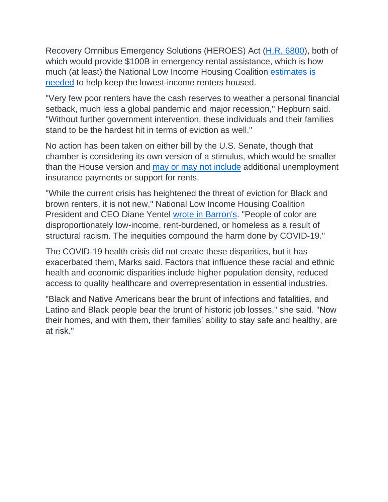Recovery Omnibus Emergency Solutions (HEROES) Act [\(H.R. 6800\)](https://www.congress.gov/bill/116th-congress/house-bill/6800), both of which would provide \$100B in emergency rental assistance, which is how much (at least) the National Low Income Housing Coalition [estimates is](https://nlihc.org/news/data-show-need-emergency-rental-assistance-during-covid-19-and-economic-crisis)  [needed](https://nlihc.org/news/data-show-need-emergency-rental-assistance-during-covid-19-and-economic-crisis) to help keep the lowest-income renters housed.

"Very few poor renters have the cash reserves to weather a personal financial setback, much less a global pandemic and major recession," Hepburn said. "Without further government intervention, these individuals and their families stand to be the hardest hit in terms of eviction as well."

No action has been taken on either bill by the U.S. Senate, though that chamber is considering its own version of a stimulus, which would be smaller than the House version and [may or may not include](https://www.forbes.com/sites/zackfriedman/2020/07/08/stimulus-second-stimulus-checks/#5a6ec14712fb) additional unemployment insurance payments or support for rents.

"While the current crisis has heightened the threat of eviction for Black and brown renters, it is not new," National Low Income Housing Coalition President and CEO Diane Yentel [wrote in Barron's.](https://www.barrons.com/articles/housing-is-health-care-during-a-pandemic-51594136315) "People of color are disproportionately low-income, rent-burdened, or homeless as a result of structural racism. The inequities compound the harm done by COVID-19."

The COVID-19 health crisis did not create these disparities, but it has exacerbated them, Marks said. Factors that influence these racial and ethnic health and economic disparities include higher population density, reduced access to quality healthcare and overrepresentation in essential industries.

"Black and Native Americans bear the brunt of infections and fatalities, and Latino and Black people bear the brunt of historic job losses," she said. "Now their homes, and with them, their families' ability to stay safe and healthy, are at risk."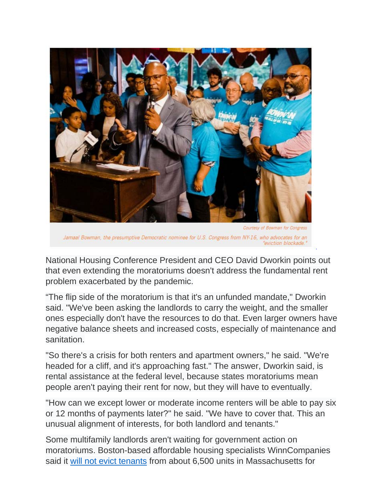

Jamaal Bowman, the presumptive Democratic nominee for U.S. Congress from NY-16, who advocates for an "eviction blockade."

National Housing Conference President and CEO David Dworkin points out that even extending the moratoriums doesn't address the fundamental rent problem exacerbated by the pandemic.

"The flip side of the moratorium is that it's an unfunded mandate," Dworkin said. "We've been asking the landlords to carry the weight, and the smaller ones especially don't have the resources to do that. Even larger owners have negative balance sheets and increased costs, especially of maintenance and sanitation.

"So there's a crisis for both renters and apartment owners," he said. "We're headed for a cliff, and it's approaching fast." The answer, Dworkin said, is rental assistance at the federal level, because states moratoriums mean people aren't paying their rent for now, but they will have to eventually.

"How can we except lower or moderate income renters will be able to pay six or 12 months of payments later?" he said. "We have to cover that. This an unusual alignment of interests, for both landlord and tenants."

Some multifamily landlords aren't waiting for government action on moratoriums. Boston-based affordable housing specialists WinnCompanies said it [will not evict tenants](https://www.bisnow.com/boston/news/affordable-housing/winncompanies-will-do-no-rent-related-evictions-this-year-105103) from about 6,500 units in Massachusetts for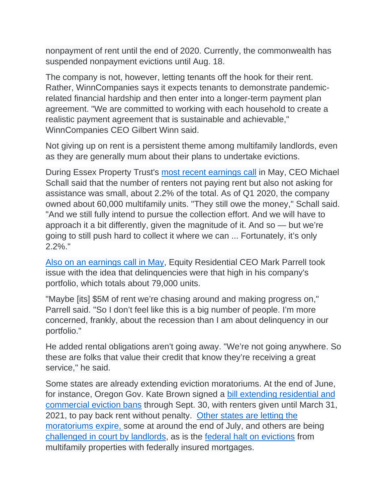nonpayment of rent until the end of 2020. Currently, the commonwealth has suspended nonpayment evictions until Aug. 18.

The company is not, however, letting tenants off the hook for their rent. Rather, WinnCompanies says it expects tenants to demonstrate pandemicrelated financial hardship and then enter into a longer-term payment plan agreement. "We are committed to working with each household to create a realistic payment agreement that is sustainable and achievable," WinnCompanies CEO Gilbert Winn said.

Not giving up on rent is a persistent theme among multifamily landlords, even as they are generally mum about their plans to undertake evictions.

During Essex Property Trust's [most recent earnings call](https://seekingalpha.com/article/4344510-essex-property-trust-inc-ess-ceo-michael-schall-on-q1-2020-results-earnings-call-transcript?part=single) in May, CEO Michael Schall said that the number of renters not paying rent but also not asking for assistance was small, about 2.2% of the total. As of Q1 2020, the company owned about 60,000 multifamily units. "They still owe the money," Schall said. "And we still fully intend to pursue the collection effort. And we will have to approach it a bit differently, given the magnitude of it. And so — but we're going to still push hard to collect it where we can ... Fortunately, it's only 2.2%."

[Also on an earnings call in May,](https://seekingalpha.com/article/4343873-equity-residentials-eqr-ceo-mark-parrell-on-q1-2020-results-earnings-call-transcript?part=single) Equity Residential CEO Mark Parrell took issue with the idea that delinquencies were that high in his company's portfolio, which totals about 79,000 units.

"Maybe [its] \$5M of rent we're chasing around and making progress on," Parrell said. "So I don't feel like this is a big number of people. I'm more concerned, frankly, about the recession than I am about delinquency in our portfolio."

He added rental obligations aren't going away. "We're not going anywhere. So these are folks that value their credit that know they're receiving a great service," he said.

Some states are already extending eviction moratoriums. At the end of June, for instance, Oregon Gov. Kate Brown signed a [bill extending residential and](https://www.oregonlive.com/coronavirus/2020/06/oregon-lawmakers-extend-commercial-residential-eviction-moratorium-through-september.html)  [commercial eviction bans](https://www.oregonlive.com/coronavirus/2020/06/oregon-lawmakers-extend-commercial-residential-eviction-moratorium-through-september.html) through Sept. 30, with renters given until March 31, 2021, to pay back rent without penalty. [Other states are letting the](https://www.nolo.com/legal-encyclopedia/emergency-bans-on-evictions-and-other-tenant-protections-related-to-coronavirus.html)  [moratoriums expire,](https://www.nolo.com/legal-encyclopedia/emergency-bans-on-evictions-and-other-tenant-protections-related-to-coronavirus.html) some at around the end of July, and others are being [challenged in court by landlords,](https://www.bisnow.com/los-angeles/news/multifamily/los-angeles-apartment-association-sues-city-of-la-challenging-eviction-ban-and-rent-freeze-104802) as is the [federal halt on evictions](https://www.bisnow.com/houston/news/multifamily/texas-multifamily-owners-file-lawsuit-against-cares-act-eviction-moratorium-105009) from multifamily properties with federally insured mortgages.